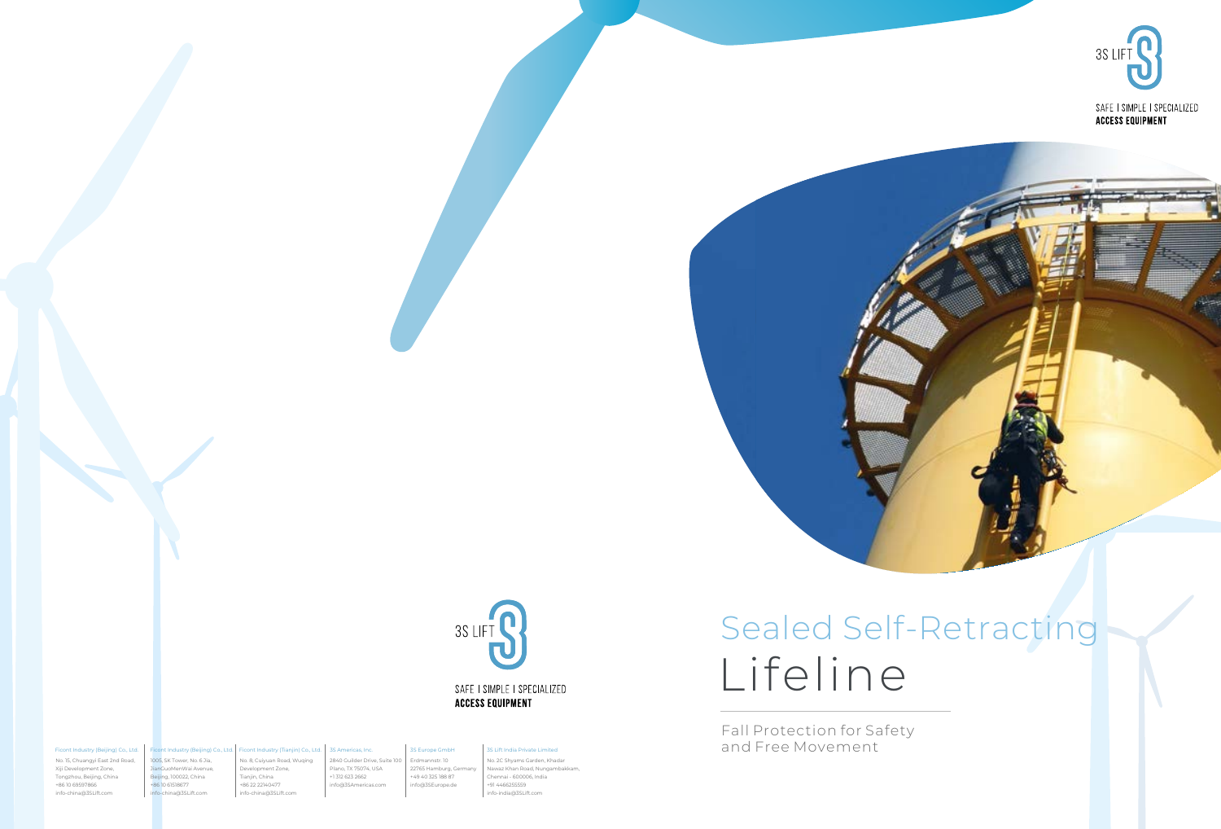



# Lifeline

Fall Protection for Safety and Free Movement

No. 15, Chuangyi East 2nd Road, Xiji Development Zone, Tongzhou, Beijing, China +86 10 69597866 info-china@3SLift.com

#### Ficont Industry (Tianjin) Co., Ltd. 1005, SK Tower, No. 6 Jia, Ficont Industry (Beijing) Co., Ltd.

#### Ficont Industry (Beijing) Co., Ltd.

Plano, TX 75074, USA +1 312 623 2662 info@3SAmericas.com

2840 Guilder Drive, Suite 100 Erdmannstr. 10 22765 Hamburg, Ger +49 40 325 188 87 info@3SEurope.de

#### 3S Americas, Inc. 3S Europe GmbH

No. 8, Cuiyuan Road, Wuqing Development Zone, Tianjin, China +86 22 22140477 info-china@3SLift.com JianGuoMenWai Avenue, Beijing, 100022, China info-china@3SLift.com

No. 2C Shyams Garden, Khadar Nawaz Khan Road, Nungambakkam, Chennai - 600006, India +91 4466255559 info-india@3SLift.com 3S Lift India Private Limited



SAFE I SIMPLE I SPECIALIZED **ACCESS EQUIPMENT** 

+86 10 61518677

### Sealed Self-Retracting